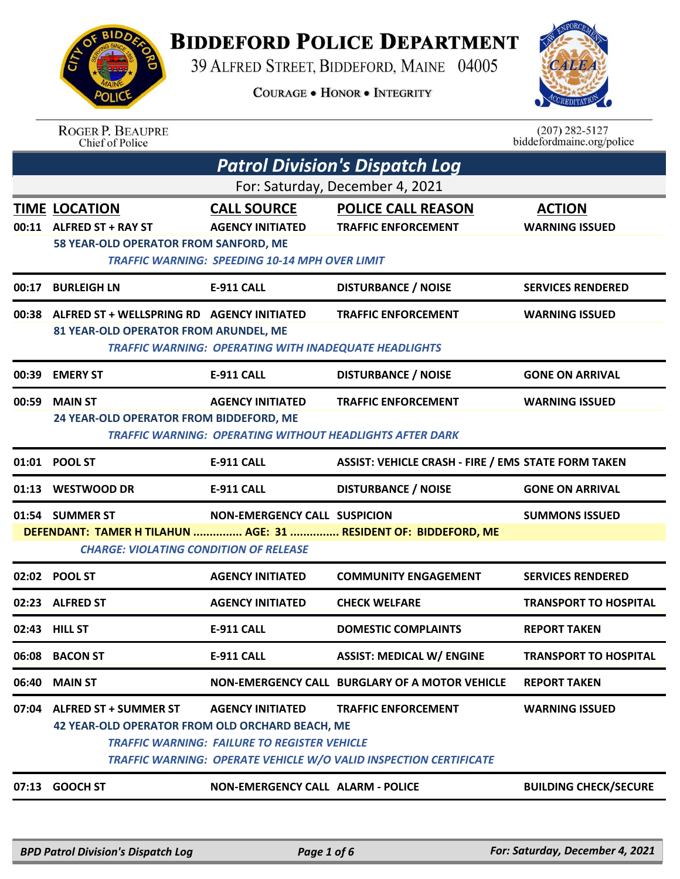## **BIDDEFORD POLICE DEPARTMENT**

39 ALFRED STREET, BIDDEFORD, MAINE 04005

**COURAGE . HONOR . INTEGRITY** 



| <b>AAA</b> |  |
|------------|--|
| ור         |  |

ROGER P. BEAUPRE<br>Chief of Police

| $(207)$ 282-5127          |
|---------------------------|
| biddefordmaine.org/police |

| <b>Patrol Division's Dispatch Log</b> |                                                                                           |                                                                                                        |                                                                                                        |                                        |  |
|---------------------------------------|-------------------------------------------------------------------------------------------|--------------------------------------------------------------------------------------------------------|--------------------------------------------------------------------------------------------------------|----------------------------------------|--|
|                                       | For: Saturday, December 4, 2021                                                           |                                                                                                        |                                                                                                        |                                        |  |
|                                       | <b>TIME LOCATION</b><br>00:11 ALFRED ST + RAY ST<br>58 YEAR-OLD OPERATOR FROM SANFORD, ME | <b>CALL SOURCE</b><br><b>AGENCY INITIATED</b><br><b>TRAFFIC WARNING: SPEEDING 10-14 MPH OVER LIMIT</b> | <b>POLICE CALL REASON</b><br><b>TRAFFIC ENFORCEMENT</b>                                                | <b>ACTION</b><br><b>WARNING ISSUED</b> |  |
| 00:17                                 | <b>BURLEIGH LN</b>                                                                        | <b>E-911 CALL</b>                                                                                      | <b>DISTURBANCE / NOISE</b>                                                                             | <b>SERVICES RENDERED</b>               |  |
| 00:38                                 | ALFRED ST + WELLSPRING RD AGENCY INITIATED<br>81 YEAR-OLD OPERATOR FROM ARUNDEL, ME       | <b>TRAFFIC WARNING: OPERATING WITH INADEQUATE HEADLIGHTS</b>                                           | <b>TRAFFIC ENFORCEMENT</b>                                                                             | <b>WARNING ISSUED</b>                  |  |
|                                       | 00:39 EMERY ST                                                                            | <b>E-911 CALL</b>                                                                                      | <b>DISTURBANCE / NOISE</b>                                                                             | <b>GONE ON ARRIVAL</b>                 |  |
| 00:59                                 | <b>MAIN ST</b><br>24 YEAR-OLD OPERATOR FROM BIDDEFORD, ME                                 | <b>AGENCY INITIATED</b>                                                                                | <b>TRAFFIC ENFORCEMENT</b><br><b>TRAFFIC WARNING: OPERATING WITHOUT HEADLIGHTS AFTER DARK</b>          | <b>WARNING ISSUED</b>                  |  |
|                                       | 01:01 POOL ST                                                                             | <b>E-911 CALL</b>                                                                                      | <b>ASSIST: VEHICLE CRASH - FIRE / EMS STATE FORM TAKEN</b>                                             |                                        |  |
|                                       | 01:13 WESTWOOD DR                                                                         | E-911 CALL                                                                                             | <b>DISTURBANCE / NOISE</b>                                                                             | <b>GONE ON ARRIVAL</b>                 |  |
|                                       | 01:54 SUMMER ST<br><b>CHARGE: VIOLATING CONDITION OF RELEASE</b>                          | <b>NON-EMERGENCY CALL SUSPICION</b>                                                                    | DEFENDANT: TAMER H TILAHUN  AGE: 31  RESIDENT OF: BIDDEFORD, ME                                        | <b>SUMMONS ISSUED</b>                  |  |
|                                       | 02:02 POOL ST                                                                             | <b>AGENCY INITIATED</b>                                                                                | <b>COMMUNITY ENGAGEMENT</b>                                                                            | <b>SERVICES RENDERED</b>               |  |
|                                       | 02:23 ALFRED ST                                                                           | <b>AGENCY INITIATED</b>                                                                                | <b>CHECK WELFARE</b>                                                                                   | <b>TRANSPORT TO HOSPITAL</b>           |  |
|                                       | 02:43 HILL ST                                                                             | <b>E-911 CALL</b>                                                                                      | <b>DOMESTIC COMPLAINTS</b>                                                                             | <b>REPORT TAKEN</b>                    |  |
|                                       | 06:08 BACON ST                                                                            | E-911 CALL                                                                                             | <b>ASSIST: MEDICAL W/ ENGINE</b>                                                                       | <b>TRANSPORT TO HOSPITAL</b>           |  |
| 06:40                                 | <b>MAIN ST</b>                                                                            |                                                                                                        | NON-EMERGENCY CALL BURGLARY OF A MOTOR VEHICLE                                                         | <b>REPORT TAKEN</b>                    |  |
| 07:04                                 | <b>ALFRED ST + SUMMER ST</b><br><b>42 YEAR-OLD OPERATOR FROM OLD ORCHARD BEACH, ME</b>    | <b>AGENCY INITIATED</b><br><b>TRAFFIC WARNING: FAILURE TO REGISTER VEHICLE</b>                         | <b>TRAFFIC ENFORCEMENT</b><br><b>TRAFFIC WARNING: OPERATE VEHICLE W/O VALID INSPECTION CERTIFICATE</b> | <b>WARNING ISSUED</b>                  |  |
| 07:13                                 | <b>GOOCH ST</b>                                                                           | <b>NON-EMERGENCY CALL ALARM - POLICE</b>                                                               |                                                                                                        | <b>BUILDING CHECK/SECURE</b>           |  |
|                                       |                                                                                           |                                                                                                        |                                                                                                        |                                        |  |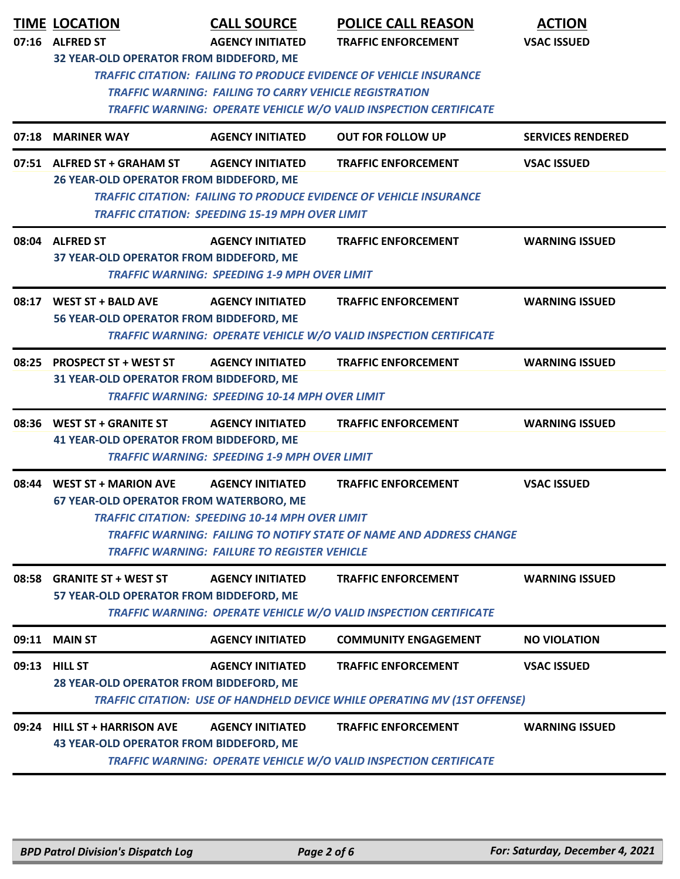|       | <b>TIME LOCATION</b><br>07:16 ALFRED ST                                         | <b>CALL SOURCE</b><br><b>AGENCY INITIATED</b>                                                                                            | <b>POLICE CALL REASON</b><br><b>TRAFFIC ENFORCEMENT</b>                                                                                               | <b>ACTION</b><br><b>VSAC ISSUED</b> |
|-------|---------------------------------------------------------------------------------|------------------------------------------------------------------------------------------------------------------------------------------|-------------------------------------------------------------------------------------------------------------------------------------------------------|-------------------------------------|
|       | 32 YEAR-OLD OPERATOR FROM BIDDEFORD, ME                                         | <b>TRAFFIC WARNING: FAILING TO CARRY VEHICLE REGISTRATION</b>                                                                            | <b>TRAFFIC CITATION: FAILING TO PRODUCE EVIDENCE OF VEHICLE INSURANCE</b><br><b>TRAFFIC WARNING: OPERATE VEHICLE W/O VALID INSPECTION CERTIFICATE</b> |                                     |
| 07:18 | <b>MARINER WAY</b>                                                              | <b>AGENCY INITIATED</b>                                                                                                                  | <b>OUT FOR FOLLOW UP</b>                                                                                                                              | <b>SERVICES RENDERED</b>            |
|       | 07:51 ALFRED ST + GRAHAM ST<br><b>26 YEAR-OLD OPERATOR FROM BIDDEFORD, ME</b>   | <b>AGENCY INITIATED</b><br><b>TRAFFIC CITATION: SPEEDING 15-19 MPH OVER LIMIT</b>                                                        | <b>TRAFFIC ENFORCEMENT</b><br><b>TRAFFIC CITATION: FAILING TO PRODUCE EVIDENCE OF VEHICLE INSURANCE</b>                                               | <b>VSAC ISSUED</b>                  |
|       | 08:04 ALFRED ST<br>37 YEAR-OLD OPERATOR FROM BIDDEFORD, ME                      | <b>AGENCY INITIATED</b><br><b>TRAFFIC WARNING: SPEEDING 1-9 MPH OVER LIMIT</b>                                                           | <b>TRAFFIC ENFORCEMENT</b>                                                                                                                            | <b>WARNING ISSUED</b>               |
|       | 08:17 WEST ST + BALD AVE<br>56 YEAR-OLD OPERATOR FROM BIDDEFORD, ME             | <b>AGENCY INITIATED</b>                                                                                                                  | <b>TRAFFIC ENFORCEMENT</b><br>TRAFFIC WARNING: OPERATE VEHICLE W/O VALID INSPECTION CERTIFICATE                                                       | <b>WARNING ISSUED</b>               |
|       | 08:25 PROSPECT ST + WEST ST<br>31 YEAR-OLD OPERATOR FROM BIDDEFORD, ME          | <b>AGENCY INITIATED</b><br><b>TRAFFIC WARNING: SPEEDING 10-14 MPH OVER LIMIT</b>                                                         | <b>TRAFFIC ENFORCEMENT</b>                                                                                                                            | <b>WARNING ISSUED</b>               |
|       | 08:36 WEST ST + GRANITE ST<br><b>41 YEAR-OLD OPERATOR FROM BIDDEFORD, ME</b>    | <b>AGENCY INITIATED</b><br><b>TRAFFIC WARNING: SPEEDING 1-9 MPH OVER LIMIT</b>                                                           | <b>TRAFFIC ENFORCEMENT</b>                                                                                                                            | <b>WARNING ISSUED</b>               |
| 08:44 | <b>WEST ST + MARION AVE</b><br><b>67 YEAR-OLD OPERATOR FROM WATERBORO, ME</b>   | <b>AGENCY INITIATED</b><br><b>TRAFFIC CITATION: SPEEDING 10-14 MPH OVER LIMIT</b><br><b>TRAFFIC WARNING: FAILURE TO REGISTER VEHICLE</b> | <b>TRAFFIC ENFORCEMENT</b><br><b>TRAFFIC WARNING: FAILING TO NOTIFY STATE OF NAME AND ADDRESS CHANGE</b>                                              | <b>VSAC ISSUED</b>                  |
|       | 08:58 GRANITE ST + WEST ST<br>57 YEAR-OLD OPERATOR FROM BIDDEFORD, ME           | <b>AGENCY INITIATED</b>                                                                                                                  | <b>TRAFFIC ENFORCEMENT</b><br><b>TRAFFIC WARNING: OPERATE VEHICLE W/O VALID INSPECTION CERTIFICATE</b>                                                | <b>WARNING ISSUED</b>               |
|       | 09:11 MAIN ST                                                                   | <b>AGENCY INITIATED</b>                                                                                                                  | <b>COMMUNITY ENGAGEMENT</b>                                                                                                                           | <b>NO VIOLATION</b>                 |
|       | 09:13 HILL ST<br>28 YEAR-OLD OPERATOR FROM BIDDEFORD, ME                        | <b>AGENCY INITIATED</b>                                                                                                                  | <b>TRAFFIC ENFORCEMENT</b><br><b>TRAFFIC CITATION: USE OF HANDHELD DEVICE WHILE OPERATING MV (1ST OFFENSE)</b>                                        | <b>VSAC ISSUED</b>                  |
| 09:24 | <b>HILL ST + HARRISON AVE</b><br><b>43 YEAR-OLD OPERATOR FROM BIDDEFORD, ME</b> | <b>AGENCY INITIATED</b>                                                                                                                  | <b>TRAFFIC ENFORCEMENT</b><br><b>TRAFFIC WARNING: OPERATE VEHICLE W/O VALID INSPECTION CERTIFICATE</b>                                                | <b>WARNING ISSUED</b>               |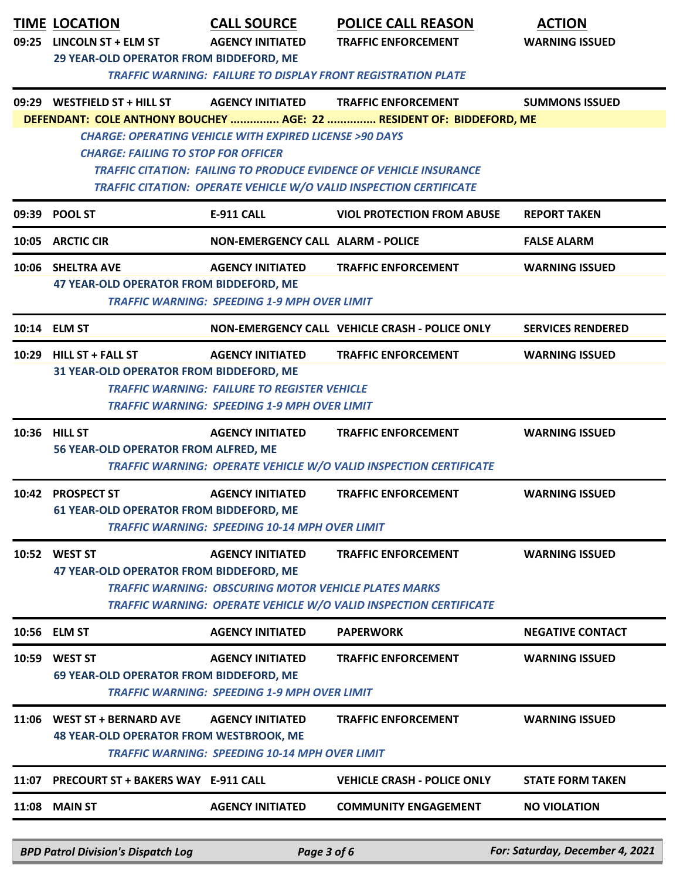|       | <b>TIME LOCATION</b><br>09:25 LINCOLN ST + ELM ST<br>29 YEAR-OLD OPERATOR FROM BIDDEFORD, ME                                                                                                                                                                       | <b>CALL SOURCE</b><br><b>AGENCY INITIATED</b>                                                                                         | <b>POLICE CALL REASON</b><br><b>TRAFFIC ENFORCEMENT</b>                                                                                                                   | <b>ACTION</b><br><b>WARNING ISSUED</b> |  |  |
|-------|--------------------------------------------------------------------------------------------------------------------------------------------------------------------------------------------------------------------------------------------------------------------|---------------------------------------------------------------------------------------------------------------------------------------|---------------------------------------------------------------------------------------------------------------------------------------------------------------------------|----------------------------------------|--|--|
|       | 09:29 WESTFIELD ST + HILL ST                                                                                                                                                                                                                                       | <b>AGENCY INITIATED</b>                                                                                                               | <b>TRAFFIC WARNING: FAILURE TO DISPLAY FRONT REGISTRATION PLATE</b><br><b>TRAFFIC ENFORCEMENT</b><br>DEFENDANT: COLE ANTHONY BOUCHEY  AGE: 22  RESIDENT OF: BIDDEFORD, ME | <b>SUMMONS ISSUED</b>                  |  |  |
|       | <b>CHARGE: OPERATING VEHICLE WITH EXPIRED LICENSE &gt;90 DAYS</b><br><b>CHARGE: FAILING TO STOP FOR OFFICER</b><br><b>TRAFFIC CITATION: FAILING TO PRODUCE EVIDENCE OF VEHICLE INSURANCE</b><br>TRAFFIC CITATION: OPERATE VEHICLE W/O VALID INSPECTION CERTIFICATE |                                                                                                                                       |                                                                                                                                                                           |                                        |  |  |
|       | 09:39 POOL ST                                                                                                                                                                                                                                                      | <b>E-911 CALL</b>                                                                                                                     | <b>VIOL PROTECTION FROM ABUSE</b>                                                                                                                                         | <b>REPORT TAKEN</b>                    |  |  |
|       | 10:05 ARCTIC CIR                                                                                                                                                                                                                                                   | <b>NON-EMERGENCY CALL ALARM - POLICE</b>                                                                                              |                                                                                                                                                                           | <b>FALSE ALARM</b>                     |  |  |
|       | 10:06 SHELTRA AVE<br>47 YEAR-OLD OPERATOR FROM BIDDEFORD, ME                                                                                                                                                                                                       | <b>AGENCY INITIATED</b><br><b>TRAFFIC WARNING: SPEEDING 1-9 MPH OVER LIMIT</b>                                                        | <b>TRAFFIC ENFORCEMENT</b>                                                                                                                                                | <b>WARNING ISSUED</b>                  |  |  |
|       | 10:14 ELM ST                                                                                                                                                                                                                                                       |                                                                                                                                       | NON-EMERGENCY CALL VEHICLE CRASH - POLICE ONLY                                                                                                                            | <b>SERVICES RENDERED</b>               |  |  |
|       | 10:29 HILL ST + FALL ST<br>31 YEAR-OLD OPERATOR FROM BIDDEFORD, ME                                                                                                                                                                                                 | <b>AGENCY INITIATED</b><br><b>TRAFFIC WARNING: FAILURE TO REGISTER VEHICLE</b><br><b>TRAFFIC WARNING: SPEEDING 1-9 MPH OVER LIMIT</b> | <b>TRAFFIC ENFORCEMENT</b>                                                                                                                                                | <b>WARNING ISSUED</b>                  |  |  |
|       | 10:36 HILL ST<br>56 YEAR-OLD OPERATOR FROM ALFRED, ME                                                                                                                                                                                                              | <b>AGENCY INITIATED</b>                                                                                                               | <b>TRAFFIC ENFORCEMENT</b><br><b>TRAFFIC WARNING: OPERATE VEHICLE W/O VALID INSPECTION CERTIFICATE</b>                                                                    | <b>WARNING ISSUED</b>                  |  |  |
|       | 10:42 PROSPECT ST<br>61 YEAR-OLD OPERATOR FROM BIDDEFORD, ME                                                                                                                                                                                                       | <b>AGENCY INITIATED</b><br><b>TRAFFIC WARNING: SPEEDING 10-14 MPH OVER LIMIT</b>                                                      | <b>TRAFFIC ENFORCEMENT</b>                                                                                                                                                | <b>WARNING ISSUED</b>                  |  |  |
|       | 10:52 WEST ST<br><b>47 YEAR-OLD OPERATOR FROM BIDDEFORD, ME</b>                                                                                                                                                                                                    | <b>AGENCY INITIATED</b><br><b>TRAFFIC WARNING: OBSCURING MOTOR VEHICLE PLATES MARKS</b>                                               | <b>TRAFFIC ENFORCEMENT</b><br><b>TRAFFIC WARNING: OPERATE VEHICLE W/O VALID INSPECTION CERTIFICATE</b>                                                                    | <b>WARNING ISSUED</b>                  |  |  |
|       | 10:56 ELM ST                                                                                                                                                                                                                                                       | <b>AGENCY INITIATED</b>                                                                                                               | <b>PAPERWORK</b>                                                                                                                                                          | <b>NEGATIVE CONTACT</b>                |  |  |
| 10:59 | <b>WEST ST</b><br><b>69 YEAR-OLD OPERATOR FROM BIDDEFORD, ME</b>                                                                                                                                                                                                   | <b>AGENCY INITIATED</b><br><b>TRAFFIC WARNING: SPEEDING 1-9 MPH OVER LIMIT</b>                                                        | <b>TRAFFIC ENFORCEMENT</b>                                                                                                                                                | <b>WARNING ISSUED</b>                  |  |  |
| 11:06 | <b>WEST ST + BERNARD AVE</b><br><b>48 YEAR-OLD OPERATOR FROM WESTBROOK, ME</b>                                                                                                                                                                                     | <b>AGENCY INITIATED</b><br><b>TRAFFIC WARNING: SPEEDING 10-14 MPH OVER LIMIT</b>                                                      | <b>TRAFFIC ENFORCEMENT</b>                                                                                                                                                | <b>WARNING ISSUED</b>                  |  |  |
| 11:07 | <b>PRECOURT ST + BAKERS WAY E-911 CALL</b>                                                                                                                                                                                                                         |                                                                                                                                       | <b>VEHICLE CRASH - POLICE ONLY</b>                                                                                                                                        | <b>STATE FORM TAKEN</b>                |  |  |
|       | <b>11:08 MAIN ST</b>                                                                                                                                                                                                                                               | <b>AGENCY INITIATED</b>                                                                                                               | <b>COMMUNITY ENGAGEMENT</b>                                                                                                                                               | <b>NO VIOLATION</b>                    |  |  |
|       | <b>BPD Patrol Division's Dispatch Log</b>                                                                                                                                                                                                                          | Page 3 of 6                                                                                                                           |                                                                                                                                                                           | For: Saturday, December 4, 2021        |  |  |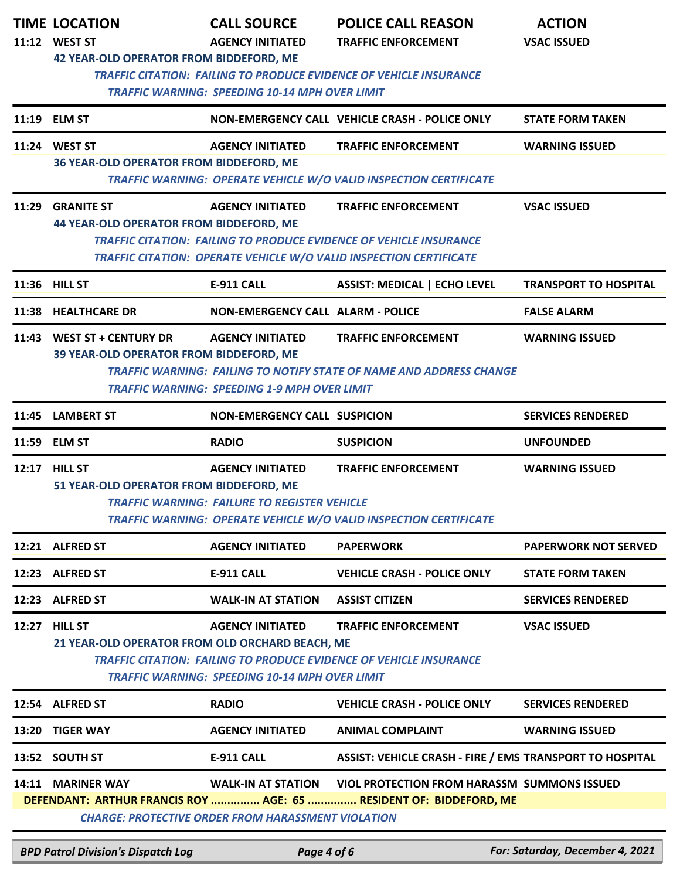|                                                                    | <b>TIME LOCATION</b><br>11:12 WEST ST<br><b>42 YEAR-OLD OPERATOR FROM BIDDEFORD, ME</b> | <b>CALL SOURCE</b><br><b>AGENCY INITIATED</b>                                    | <b>POLICE CALL REASON</b><br><b>TRAFFIC ENFORCEMENT</b>                                                                                                                       | <b>ACTION</b><br><b>VSAC ISSUED</b> |
|--------------------------------------------------------------------|-----------------------------------------------------------------------------------------|----------------------------------------------------------------------------------|-------------------------------------------------------------------------------------------------------------------------------------------------------------------------------|-------------------------------------|
|                                                                    |                                                                                         | <b>TRAFFIC WARNING: SPEEDING 10-14 MPH OVER LIMIT</b>                            | <b>TRAFFIC CITATION: FAILING TO PRODUCE EVIDENCE OF VEHICLE INSURANCE</b>                                                                                                     |                                     |
|                                                                    | 11:19 ELM ST                                                                            |                                                                                  | NON-EMERGENCY CALL VEHICLE CRASH - POLICE ONLY                                                                                                                                | <b>STATE FORM TAKEN</b>             |
|                                                                    | 11:24 WEST ST<br><b>36 YEAR-OLD OPERATOR FROM BIDDEFORD, ME</b>                         | <b>AGENCY INITIATED</b>                                                          | <b>TRAFFIC ENFORCEMENT</b><br><b>TRAFFIC WARNING: OPERATE VEHICLE W/O VALID INSPECTION CERTIFICATE</b>                                                                        | <b>WARNING ISSUED</b>               |
|                                                                    | 11:29 GRANITE ST<br><b>44 YEAR-OLD OPERATOR FROM BIDDEFORD, ME</b>                      | <b>AGENCY INITIATED</b>                                                          | <b>TRAFFIC ENFORCEMENT</b><br><b>TRAFFIC CITATION: FAILING TO PRODUCE EVIDENCE OF VEHICLE INSURANCE</b><br>TRAFFIC CITATION: OPERATE VEHICLE W/O VALID INSPECTION CERTIFICATE | <b>VSAC ISSUED</b>                  |
|                                                                    | 11:36 HILL ST                                                                           | <b>E-911 CALL</b>                                                                | <b>ASSIST: MEDICAL   ECHO LEVEL</b>                                                                                                                                           | <b>TRANSPORT TO HOSPITAL</b>        |
|                                                                    | 11:38 HEALTHCARE DR                                                                     | <b>NON-EMERGENCY CALL ALARM - POLICE</b>                                         |                                                                                                                                                                               | <b>FALSE ALARM</b>                  |
|                                                                    | 11:43 WEST ST + CENTURY DR<br>39 YEAR-OLD OPERATOR FROM BIDDEFORD, ME                   | <b>AGENCY INITIATED</b><br><b>TRAFFIC WARNING: SPEEDING 1-9 MPH OVER LIMIT</b>   | <b>TRAFFIC ENFORCEMENT</b><br><b>TRAFFIC WARNING: FAILING TO NOTIFY STATE OF NAME AND ADDRESS CHANGE</b>                                                                      | <b>WARNING ISSUED</b>               |
| 11:45                                                              | <b>LAMBERT ST</b>                                                                       | <b>NON-EMERGENCY CALL SUSPICION</b>                                              |                                                                                                                                                                               | <b>SERVICES RENDERED</b>            |
|                                                                    | 11:59 ELM ST                                                                            | <b>RADIO</b>                                                                     | <b>SUSPICION</b>                                                                                                                                                              | <b>UNFOUNDED</b>                    |
|                                                                    | 12:17 HILL ST<br>51 YEAR-OLD OPERATOR FROM BIDDEFORD, ME                                | <b>AGENCY INITIATED</b><br><b>TRAFFIC WARNING: FAILURE TO REGISTER VEHICLE</b>   | <b>TRAFFIC ENFORCEMENT</b><br>TRAFFIC WARNING: OPERATE VEHICLE W/O VALID INSPECTION CERTIFICATE                                                                               | <b>WARNING ISSUED</b>               |
|                                                                    | 12:21 ALFRED ST                                                                         | <b>AGENCY INITIATED</b>                                                          | <b>PAPERWORK</b>                                                                                                                                                              | <b>PAPERWORK NOT SERVED</b>         |
|                                                                    | 12:23 ALFRED ST                                                                         | E-911 CALL                                                                       | <b>VEHICLE CRASH - POLICE ONLY</b>                                                                                                                                            | <b>STATE FORM TAKEN</b>             |
|                                                                    | 12:23 ALFRED ST                                                                         | <b>WALK-IN AT STATION</b>                                                        | <b>ASSIST CITIZEN</b>                                                                                                                                                         | <b>SERVICES RENDERED</b>            |
|                                                                    | 12:27 HILL ST<br>21 YEAR-OLD OPERATOR FROM OLD ORCHARD BEACH, ME                        | <b>AGENCY INITIATED</b><br><b>TRAFFIC WARNING: SPEEDING 10-14 MPH OVER LIMIT</b> | <b>TRAFFIC ENFORCEMENT</b><br><b>TRAFFIC CITATION: FAILING TO PRODUCE EVIDENCE OF VEHICLE INSURANCE</b>                                                                       | <b>VSAC ISSUED</b>                  |
|                                                                    | 12:54 ALFRED ST                                                                         | <b>RADIO</b>                                                                     | <b>VEHICLE CRASH - POLICE ONLY</b>                                                                                                                                            | <b>SERVICES RENDERED</b>            |
|                                                                    | 13:20 TIGER WAY                                                                         | <b>AGENCY INITIATED</b>                                                          | <b>ANIMAL COMPLAINT</b>                                                                                                                                                       | <b>WARNING ISSUED</b>               |
|                                                                    | 13:52 SOUTH ST                                                                          | <b>E-911 CALL</b>                                                                | ASSIST: VEHICLE CRASH - FIRE / EMS TRANSPORT TO HOSPITAL                                                                                                                      |                                     |
| DEFENDANT: ARTHUR FRANCIS ROY  AGE: 65  RESIDENT OF: BIDDEFORD, ME | 14:11 MARINER WAY                                                                       | <b>WALK-IN AT STATION</b>                                                        | <b>VIOL PROTECTION FROM HARASSM SUMMONS ISSUED</b>                                                                                                                            |                                     |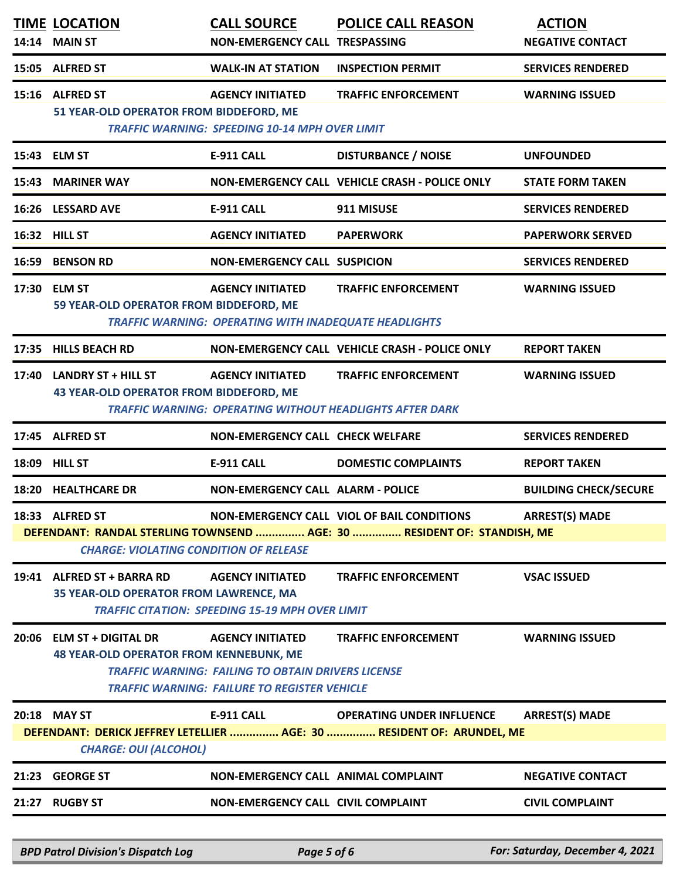| 14:14 | <b>TIME LOCATION</b><br><b>MAIN ST</b>                                       | <b>CALL SOURCE</b><br>NON-EMERGENCY CALL TRESPASSING                                                                                 | <b>POLICE CALL REASON</b>                                                                                                    | <b>ACTION</b><br><b>NEGATIVE CONTACT</b> |
|-------|------------------------------------------------------------------------------|--------------------------------------------------------------------------------------------------------------------------------------|------------------------------------------------------------------------------------------------------------------------------|------------------------------------------|
|       | 15:05 ALFRED ST                                                              | <b>WALK-IN AT STATION</b>                                                                                                            | <b>INSPECTION PERMIT</b>                                                                                                     | <b>SERVICES RENDERED</b>                 |
|       | 15:16 ALFRED ST<br>51 YEAR-OLD OPERATOR FROM BIDDEFORD, ME                   | <b>AGENCY INITIATED</b><br><b>TRAFFIC WARNING: SPEEDING 10-14 MPH OVER LIMIT</b>                                                     | <b>TRAFFIC ENFORCEMENT</b>                                                                                                   | <b>WARNING ISSUED</b>                    |
|       | 15:43 ELM ST                                                                 | E-911 CALL                                                                                                                           | <b>DISTURBANCE / NOISE</b>                                                                                                   | <b>UNFOUNDED</b>                         |
| 15:43 | <b>MARINER WAY</b>                                                           |                                                                                                                                      | NON-EMERGENCY CALL VEHICLE CRASH - POLICE ONLY                                                                               | <b>STATE FORM TAKEN</b>                  |
|       | 16:26 LESSARD AVE                                                            | <b>E-911 CALL</b>                                                                                                                    | 911 MISUSE                                                                                                                   | <b>SERVICES RENDERED</b>                 |
|       | 16:32 HILL ST                                                                | <b>AGENCY INITIATED</b>                                                                                                              | <b>PAPERWORK</b>                                                                                                             | <b>PAPERWORK SERVED</b>                  |
| 16:59 | <b>BENSON RD</b>                                                             | <b>NON-EMERGENCY CALL SUSPICION</b>                                                                                                  |                                                                                                                              | <b>SERVICES RENDERED</b>                 |
| 17:30 | <b>ELM ST</b><br>59 YEAR-OLD OPERATOR FROM BIDDEFORD, ME                     | <b>AGENCY INITIATED</b><br><b>TRAFFIC WARNING: OPERATING WITH INADEQUATE HEADLIGHTS</b>                                              | <b>TRAFFIC ENFORCEMENT</b>                                                                                                   | <b>WARNING ISSUED</b>                    |
| 17:35 | <b>HILLS BEACH RD</b>                                                        |                                                                                                                                      | NON-EMERGENCY CALL VEHICLE CRASH - POLICE ONLY                                                                               | <b>REPORT TAKEN</b>                      |
| 17:40 | <b>LANDRY ST + HILL ST</b><br>43 YEAR-OLD OPERATOR FROM BIDDEFORD, ME        | <b>AGENCY INITIATED</b>                                                                                                              | <b>TRAFFIC ENFORCEMENT</b><br><b>TRAFFIC WARNING: OPERATING WITHOUT HEADLIGHTS AFTER DARK</b>                                | <b>WARNING ISSUED</b>                    |
|       | 17:45 ALFRED ST                                                              | <b>NON-EMERGENCY CALL CHECK WELFARE</b>                                                                                              |                                                                                                                              | <b>SERVICES RENDERED</b>                 |
| 18:09 | <b>HILL ST</b>                                                               | <b>E-911 CALL</b>                                                                                                                    | <b>DOMESTIC COMPLAINTS</b>                                                                                                   | <b>REPORT TAKEN</b>                      |
| 18:20 | <b>HEALTHCARE DR</b>                                                         | <b>NON-EMERGENCY CALL ALARM - POLICE</b>                                                                                             |                                                                                                                              | <b>BUILDING CHECK/SECURE</b>             |
|       | 18:33 ALFRED ST<br><b>CHARGE: VIOLATING CONDITION OF RELEASE</b>             |                                                                                                                                      | <b>NON-EMERGENCY CALL VIOL OF BAIL CONDITIONS</b><br>DEFENDANT: RANDAL STERLING TOWNSEND  AGE: 30  RESIDENT OF: STANDISH, ME | <b>ARREST(S) MADE</b>                    |
|       | 19:41 ALFRED ST + BARRA RD<br>35 YEAR-OLD OPERATOR FROM LAWRENCE, MA         | <b>AGENCY INITIATED</b><br><b>TRAFFIC CITATION: SPEEDING 15-19 MPH OVER LIMIT</b>                                                    | <b>TRAFFIC ENFORCEMENT</b>                                                                                                   | <b>VSAC ISSUED</b>                       |
| 20:06 | <b>ELM ST + DIGITAL DR</b><br><b>48 YEAR-OLD OPERATOR FROM KENNEBUNK, ME</b> | <b>AGENCY INITIATED</b><br><b>TRAFFIC WARNING: FAILING TO OBTAIN DRIVERS LICENSE</b><br>TRAFFIC WARNING: FAILURE TO REGISTER VEHICLE | <b>TRAFFIC ENFORCEMENT</b>                                                                                                   | <b>WARNING ISSUED</b>                    |
|       | 20:18 MAY ST<br><b>CHARGE: OUI (ALCOHOL)</b>                                 | <b>E-911 CALL</b>                                                                                                                    | <b>OPERATING UNDER INFLUENCE</b><br>DEFENDANT: DERICK JEFFREY LETELLIER  AGE: 30  RESIDENT OF: ARUNDEL, ME                   | <b>ARREST(S) MADE</b>                    |
|       | 21:23 GEORGE ST                                                              | NON-EMERGENCY CALL ANIMAL COMPLAINT                                                                                                  |                                                                                                                              | <b>NEGATIVE CONTACT</b>                  |
| 21:27 | <b>RUGBY ST</b>                                                              | <b>NON-EMERGENCY CALL CIVIL COMPLAINT</b>                                                                                            |                                                                                                                              | <b>CIVIL COMPLAINT</b>                   |

*BPD Patrol Division's Dispatch Log Page 5 of 6 For: Saturday, December 4, 2021*